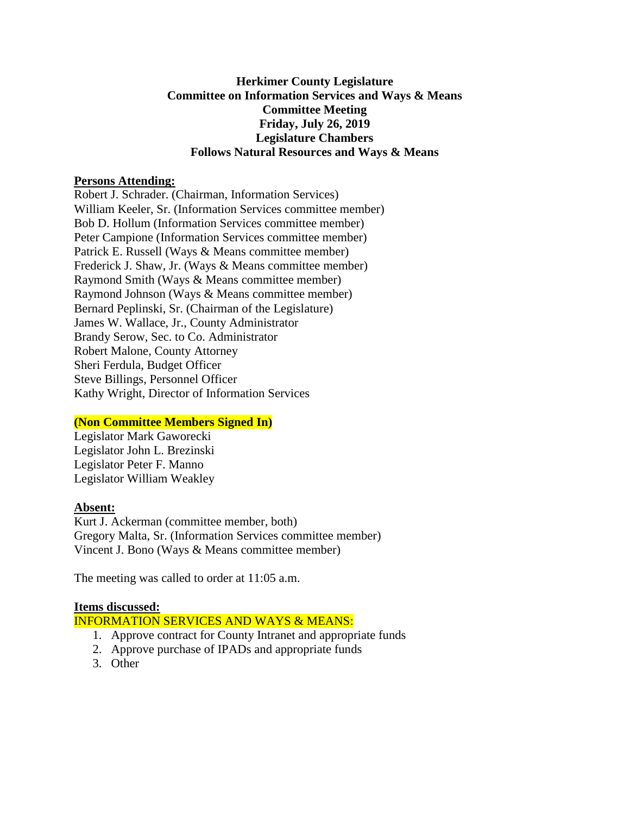#### **Herkimer County Legislature Committee on Information Services and Ways & Means Committee Meeting Friday, July 26, 2019 Legislature Chambers Follows Natural Resources and Ways & Means**

#### **Persons Attending:**

Robert J. Schrader. (Chairman, Information Services) William Keeler, Sr. (Information Services committee member) Bob D. Hollum (Information Services committee member) Peter Campione (Information Services committee member) Patrick E. Russell (Ways & Means committee member) Frederick J. Shaw, Jr. (Ways & Means committee member) Raymond Smith (Ways & Means committee member) Raymond Johnson (Ways & Means committee member) Bernard Peplinski, Sr. (Chairman of the Legislature) James W. Wallace, Jr., County Administrator Brandy Serow, Sec. to Co. Administrator Robert Malone, County Attorney Sheri Ferdula, Budget Officer Steve Billings, Personnel Officer Kathy Wright, Director of Information Services

# **(Non Committee Members Signed In)**

Legislator Mark Gaworecki Legislator John L. Brezinski Legislator Peter F. Manno Legislator William Weakley

# **Absent:**

Kurt J. Ackerman (committee member, both) Gregory Malta, Sr. (Information Services committee member) Vincent J. Bono (Ways & Means committee member)

The meeting was called to order at 11:05 a.m.

# **Items discussed:**

# INFORMATION SERVICES AND WAYS & MEANS:

- 1. Approve contract for County Intranet and appropriate funds
- 2. Approve purchase of IPADs and appropriate funds
- 3. Other